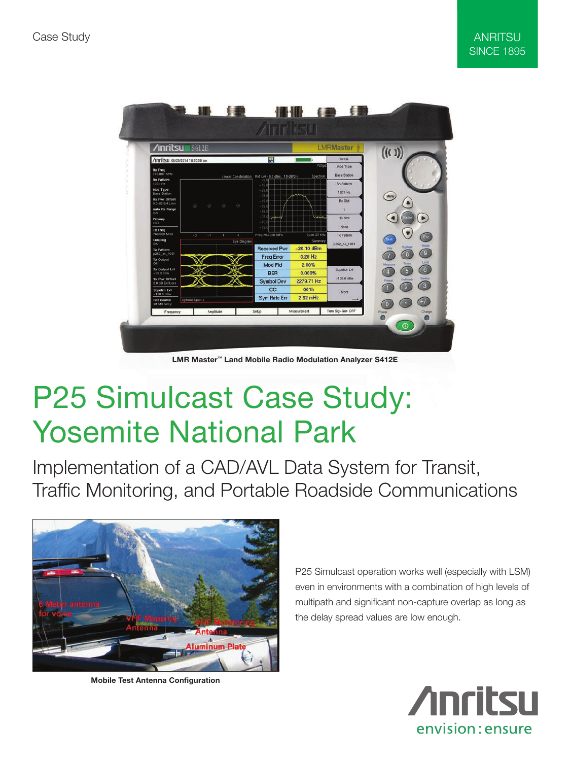

LMR Master™ Land Mobile Radio Modulation Analyzer S412E

## P25 Simulcast Case Study: Yosemite National Park

Implementation of a CAD/AVL Data System for Transit, Traffic Monitoring, and Portable Roadside Communications



Mobile Test Antenna Configuration

P25 Simulcast operation works well (especially with LSM) even in environments with a combination of high levels of multipath and significant non-capture overlap as long as the delay spread values are low enough.